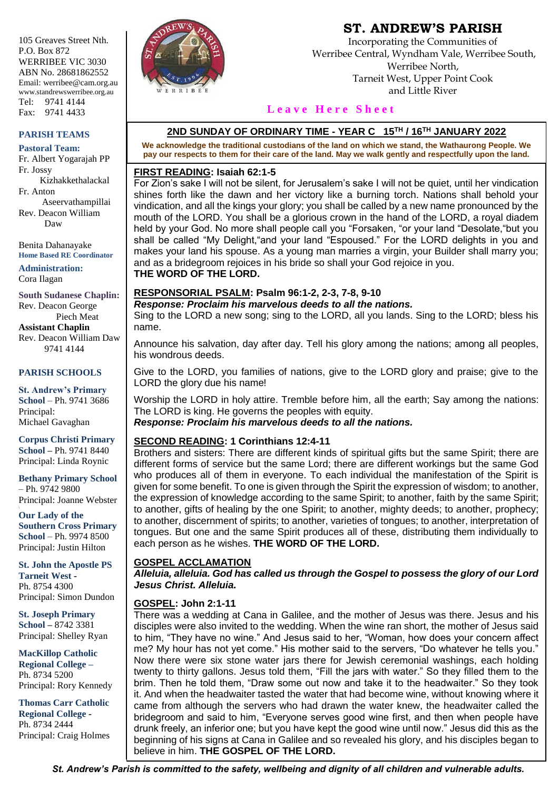105 Greaves Street Nth. P.O. Box 872 WERRIBEE VIC 3030 ABN No. 28681862552 Email: werribee@cam.org.au www.standrewswerribee.org.au Tel: 9741 4144 Fax: 9741 4433

#### **PARISH TEAMS**

**Pastoral Team:** Fr. Albert Yogarajah PP Fr. Jossy Kizhakkethalackal Fr. Anton Aseervathampillai Rev. Deacon William Daw

Benita Dahanayake **Home Based RE Coordinator**

**Administration:** Cora Ilagan

**South Sudanese Chaplin:** Rev. Deacon George Piech Meat **Assistant Chaplin** Rev. Deacon William Daw 9741 4144

#### **PARISH SCHOOLS**

**St. Andrew's Primary School** – Ph. 9741 3686 Principal: Michael Gavaghan

**Corpus Christi Primary School –** Ph. 9741 8440 Principal: Linda Roynic

**Bethany Primary School** – Ph. 9742 9800 Principal: Joanne Webster

**Our Lady of the Southern Cross Primary School** – Ph. 9974 8500 Principal: Justin Hilton

**St. John the Apostle PS Tarneit West -** Ph. 8754 4300 Principal: Simon Dundon

**St. Joseph Primary School –** 8742 3381 Principal: Shelley Ryan

**MacKillop Catholic Regional College –** Ph. 8734 5200 Principal: Rory Kennedy

**Thomas Carr Catholic Regional College -** Ph. 8734 2444 Principal: Craig Holmes



# **ST. ANDREW'S PARISH**

Incorporating the Communities of Werribee Central, Wyndham Vale, Werribee South, Werribee North, Tarneit West, Upper Point Cook and Little River

## Leave Here Sheet

## **2ND SUNDAY OF ORDINARY TIME - YEAR C 15TH / 16TH JANUARY 2022**

**We acknowledge the traditional custodians of the land on which we stand, the Wathaurong People. We pay our respects to them for their care of the land. May we walk gently and respectfully upon the land.**

#### **FIRST READING: Isaiah 62:1-5**

For Zion's sake I will not be silent, for Jerusalem's sake I will not be quiet, until her vindication shines forth like the dawn and her victory like a burning torch. Nations shall behold your vindication, and all the kings your glory; you shall be called by a new name pronounced by the mouth of the LORD. You shall be a glorious crown in the hand of the LORD, a royal diadem held by your God. No more shall people call you "Forsaken, "or your land "Desolate,"but you shall be called "My Delight,"and your land "Espoused." For the LORD delights in you and makes your land his spouse. As a young man marries a virgin, your Builder shall marry you; and as a bridegroom rejoices in his bride so shall your God rejoice in you. **THE WORD OF THE LORD.**

# **RESPONSORIAL PSALM: Psalm 96:1-2, 2-3, 7-8, 9-10**

*Response: Proclaim his marvelous deeds to all the nations.* Sing to the LORD a new song; sing to the LORD, all you lands. Sing to the LORD; bless his name.

Announce his salvation, day after day. Tell his glory among the nations; among all peoples, his wondrous deeds.

Give to the LORD, you families of nations, give to the LORD glory and praise; give to the LORD the glory due his name!

Worship the LORD in holy attire. Tremble before him, all the earth; Say among the nations: The LORD is king. He governs the peoples with equity.

### *Response: Proclaim his marvelous deeds to all the nations.*

### **SECOND READING: 1 Corinthians 12:4-11**

Brothers and sisters: There are different kinds of spiritual gifts but the same Spirit; there are different forms of service but the same Lord; there are different workings but the same God who produces all of them in everyone. To each individual the manifestation of the Spirit is given for some benefit. To one is given through the Spirit the expression of wisdom; to another, the expression of knowledge according to the same Spirit; to another, faith by the same Spirit; to another, gifts of healing by the one Spirit; to another, mighty deeds; to another, prophecy; to another, discernment of spirits; to another, varieties of tongues; to another, interpretation of tongues. But one and the same Spirit produces all of these, distributing them individually to each person as he wishes. **THE WORD OF THE LORD.**

### **GOSPEL ACCLAMATION**

*Alleluia, alleluia. God has called us through the Gospel to possess the glory of our Lord Jesus Christ. Alleluia.*

### **GOSPEL: John 2:1-11**

There was a wedding at Cana in Galilee, and the mother of Jesus was there. Jesus and his disciples were also invited to the wedding. When the wine ran short, the mother of Jesus said to him, "They have no wine." And Jesus said to her, "Woman, how does your concern affect me? My hour has not yet come." His mother said to the servers, "Do whatever he tells you." Now there were six stone water jars there for Jewish ceremonial washings, each holding twenty to thirty gallons. Jesus told them, "Fill the jars with water." So they filled them to the brim. Then he told them, "Draw some out now and take it to the headwaiter." So they took it. And when the headwaiter tasted the water that had become wine, without knowing where it came from although the servers who had drawn the water knew, the headwaiter called the bridegroom and said to him, "Everyone serves good wine first, and then when people have drunk freely, an inferior one; but you have kept the good wine until now." Jesus did this as the beginning of his signs at Cana in Galilee and so revealed his glory, and his disciples began to believe in him. **THE GOSPEL OF THE LORD.**

*St. Andrew's Parish is committed to the safety, wellbeing and dignity of all children and vulnerable adults.*